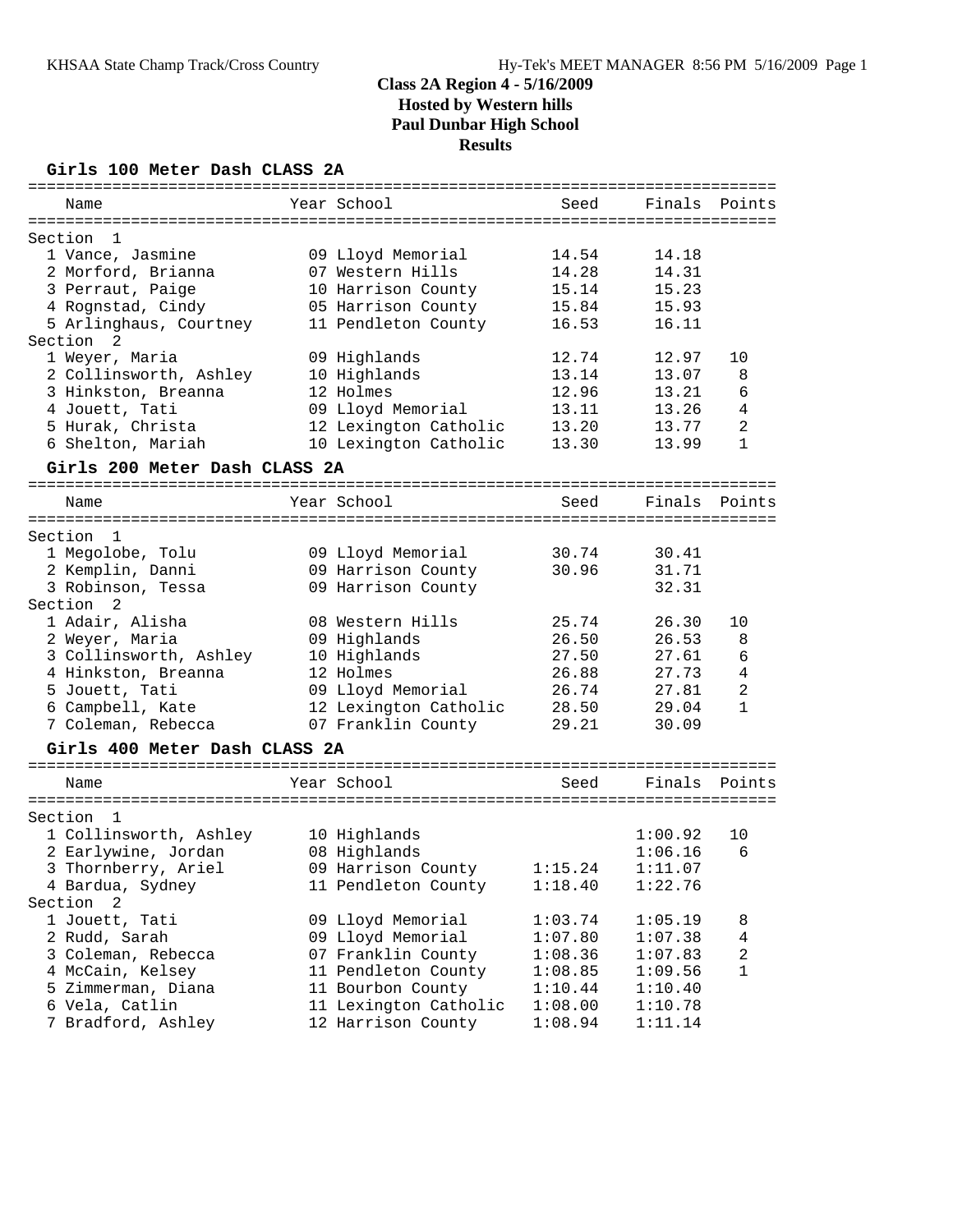### **Girls 100 Meter Dash CLASS 2A**

| Name                   |                               | Year School           | Seed    | Finals  | Points         |
|------------------------|-------------------------------|-----------------------|---------|---------|----------------|
|                        |                               |                       |         |         |                |
| Section<br>1           |                               |                       |         |         |                |
| 1 Vance, Jasmine       |                               | 09 Lloyd Memorial     | 14.54   | 14.18   |                |
| 2 Morford, Brianna     |                               | 07 Western Hills      | 14.28   | 14.31   |                |
| 3 Perraut, Paige       |                               | 10 Harrison County    | 15.14   | 15.23   |                |
| 4 Rognstad, Cindy      |                               | 05 Harrison County    | 15.84   | 15.93   |                |
| 5 Arlinghaus, Courtney |                               | 11 Pendleton County   | 16.53   | 16.11   |                |
| Section<br>2           |                               |                       |         |         |                |
| 1 Weyer, Maria         |                               | 09 Highlands          | 12.74   | 12.97   | 10             |
| 2 Collinsworth, Ashley |                               | 10 Highlands          | 13.14   | 13.07   | 8              |
| 3 Hinkston, Breanna    |                               | 12 Holmes             | 12.96   | 13.21   | 6              |
| 4 Jouett, Tati         |                               | 09 Lloyd Memorial     | 13.11   | 13.26   | 4              |
| 5 Hurak, Christa       |                               | 12 Lexington Catholic | 13.20   | 13.77   | $\overline{c}$ |
| 6 Shelton, Mariah      |                               | 10 Lexington Catholic | 13.30   | 13.99   | $\mathbf{1}$   |
|                        | Girls 200 Meter Dash CLASS 2A |                       |         |         |                |
|                        |                               |                       |         |         |                |
| Name                   |                               | Year School           | Seed    | Finals  | Points         |
|                        |                               |                       |         |         |                |
| Section<br>1           |                               |                       |         |         |                |
| 1 Megolobe, Tolu       |                               | 09 Lloyd Memorial     | 30.74   | 30.41   |                |
| 2 Kemplin, Danni       |                               | 09 Harrison County    | 30.96   | 31.71   |                |
| 3 Robinson, Tessa      |                               | 09 Harrison County    |         | 32.31   |                |
| Section 2              |                               |                       |         |         |                |
| 1 Adair, Alisha        |                               | 08 Western Hills      | 25.74   | 26.30   | 10             |
| 2 Weyer, Maria         |                               | 09 Highlands          | 26.50   | 26.53   | 8              |
| 3 Collinsworth, Ashley |                               | 10 Highlands          | 27.50   | 27.61   | 6              |
| 4 Hinkston, Breanna    |                               | 12 Holmes             | 26.88   | 27.73   | $\overline{4}$ |
| 5 Jouett, Tati         |                               | 09 Lloyd Memorial     | 26.74   | 27.81   | 2              |
| 6 Campbell, Kate       |                               | 12 Lexington Catholic | 28.50   | 29.04   | $\mathbf{1}$   |
| 7 Coleman, Rebecca     |                               | 07 Franklin County    | 29.21   | 30.09   |                |
|                        | Girls 400 Meter Dash CLASS 2A |                       |         |         |                |
|                        |                               |                       |         |         |                |
| Name                   |                               | Year School           | Seed    | Finals  | Points         |
|                        |                               |                       |         |         |                |
| Section<br>1           |                               |                       |         |         |                |
| 1 Collinsworth, Ashley |                               | 10 Highlands          |         | 1:00.92 | 10             |
| 2 Earlywine, Jordan    |                               | 08 Highlands          |         | 1:06.16 | 6              |
| 3 Thornberry, Ariel    |                               | 09 Harrison County    | 1:15.24 | 1:11.07 |                |
| 4 Bardua, Sydney       |                               | 11 Pendleton County   | 1:18.40 | 1:22.76 |                |
| Section<br>2           |                               |                       |         |         |                |
| 1 Jouett, Tati         |                               | 09 Lloyd Memorial     | 1:03.74 | 1:05.19 | 8              |
| 2 Rudd, Sarah          |                               | 09 Lloyd Memorial     | 1:07.80 | 1:07.38 | 4              |
| 3 Coleman, Rebecca     |                               | 07 Franklin County    | 1:08.36 | 1:07.83 | 2              |
| 4 McCain, Kelsey       |                               | 11 Pendleton County   | 1:08.85 | 1:09.56 | $\mathbf{1}$   |
| 5 Zimmerman, Diana     |                               | 11 Bourbon County     | 1:10.44 | 1:10.40 |                |
| 6 Vela, Catlin         |                               | 11 Lexington Catholic | 1:08.00 | 1:10.78 |                |
| 7 Bradford, Ashley     |                               | 12 Harrison County    | 1:08.94 | 1:11.14 |                |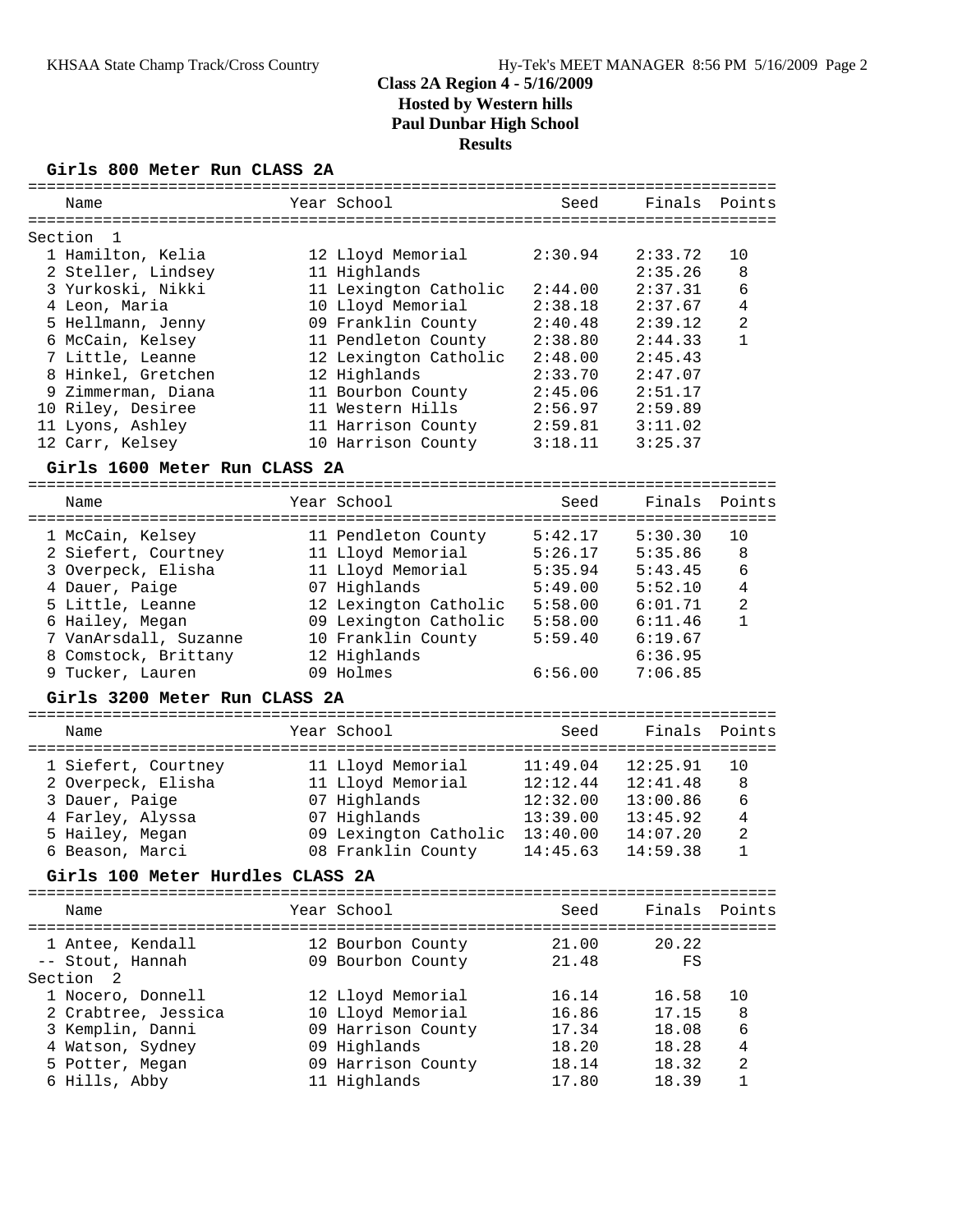# **Girls 800 Meter Run CLASS 2A**

| Name                             | Year School           | Seed     |          | Finals Points  |
|----------------------------------|-----------------------|----------|----------|----------------|
| Section<br>1                     |                       |          |          |                |
| 1 Hamilton, Kelia                | 12 Lloyd Memorial     | 2:30.94  | 2:33.72  | 10             |
| 2 Steller, Lindsey               | 11 Highlands          |          | 2:35.26  | 8              |
| 3 Yurkoski, Nikki                | 11 Lexington Catholic | 2:44.00  | 2:37.31  | 6              |
| 4 Leon, Maria                    | 10 Lloyd Memorial     | 2:38.18  | 2:37.67  | $\overline{4}$ |
| 5 Hellmann, Jenny                | 09 Franklin County    | 2:40.48  | 2:39.12  | $\overline{c}$ |
| 6 McCain, Kelsey                 | 11 Pendleton County   | 2:38.80  | 2:44.33  | $\mathbf{1}$   |
| 7 Little, Leanne                 | 12 Lexington Catholic | 2:48.00  | 2:45.43  |                |
| 8 Hinkel, Gretchen               | 12 Highlands          | 2:33.70  | 2:47.07  |                |
| 9 Zimmerman, Diana               | 11 Bourbon County     | 2:45.06  | 2:51.17  |                |
| 10 Riley, Desiree                | 11 Western Hills      | 2:56.97  | 2:59.89  |                |
| 11 Lyons, Ashley                 | 11 Harrison County    | 2:59.81  | 3:11.02  |                |
| 12 Carr, Kelsey                  | 10 Harrison County    | 3:18.11  | 3:25.37  |                |
| Girls 1600 Meter Run CLASS 2A    |                       |          |          |                |
|                                  |                       |          |          |                |
| Name                             | Year School           | Seed     | Finals   | Points         |
|                                  |                       |          |          |                |
| 1 McCain, Kelsey                 | 11 Pendleton County   | 5:42.17  | 5:30.30  | 10             |
| 2 Siefert, Courtney              | 11 Lloyd Memorial     | 5:26.17  | 5:35.86  | 8              |
| 3 Overpeck, Elisha               | 11 Lloyd Memorial     | 5:35.94  | 5:43.45  | 6              |
| 4 Dauer, Paige                   | 07 Highlands          | 5:49.00  | 5:52.10  | 4              |
| 5 Little, Leanne                 | 12 Lexington Catholic | 5:58.00  | 6:01.71  | 2              |
| 6 Hailey, Megan                  | 09 Lexington Catholic | 5:58.00  | 6:11.46  | $\mathbf{1}$   |
| 7 VanArsdall, Suzanne            | 10 Franklin County    | 5:59.40  | 6:19.67  |                |
| 8 Comstock, Brittany             | 12 Highlands          |          | 6:36.95  |                |
| 9 Tucker, Lauren                 | 09 Holmes             | 6:56.00  | 7:06.85  |                |
| Girls 3200 Meter Run CLASS 2A    |                       |          |          |                |
|                                  |                       |          |          |                |
| Name                             | Year School           | Seed     | Finals   | Points         |
|                                  |                       |          |          |                |
| 1 Siefert, Courtney              | 11 Lloyd Memorial     | 11:49.04 | 12:25.91 | 10             |
| 2 Overpeck, Elisha               | 11 Lloyd Memorial     | 12:12.44 | 12:41.48 | 8              |
| 3 Dauer, Paige                   | 07 Highlands          | 12:32.00 | 13:00.86 | 6              |
| 4 Farley, Alyssa                 | 07 Highlands          | 13:39.00 | 13:45.92 | $\overline{4}$ |
| 5 Hailey, Megan                  | 09 Lexington Catholic | 13:40.00 | 14:07.20 | 2              |
| 6 Beason, Marci                  | 08 Franklin County    | 14:45.63 | 14:59.38 | 1              |
| Girls 100 Meter Hurdles CLASS 2A |                       |          |          |                |
| Name                             | Year School           | Seed     | Finals   | Points         |
|                                  |                       |          |          |                |
| 1 Antee, Kendall                 | 12 Bourbon County     | 21.00    | 20.22    |                |
| -- Stout, Hannah                 | 09 Bourbon County     | 21.48    | FS       |                |
| Section<br>2                     |                       |          |          |                |
| 1 Nocero, Donnell                | 12 Lloyd Memorial     | 16.14    | 16.58    | 10             |
| 2 Crabtree, Jessica              | 10 Lloyd Memorial     | 16.86    | 17.15    | 8              |
| 3 Kemplin, Danni                 | 09 Harrison County    | 17.34    | 18.08    | 6              |
| 4 Watson, Sydney                 | 09 Highlands          | 18.20    | 18.28    | 4              |
| 5 Potter, Megan                  | 09 Harrison County    | 18.14    | 18.32    | $\overline{c}$ |
| 6 Hills, Abby                    | 11 Highlands          | 17.80    | 18.39    | $\mathbf{1}$   |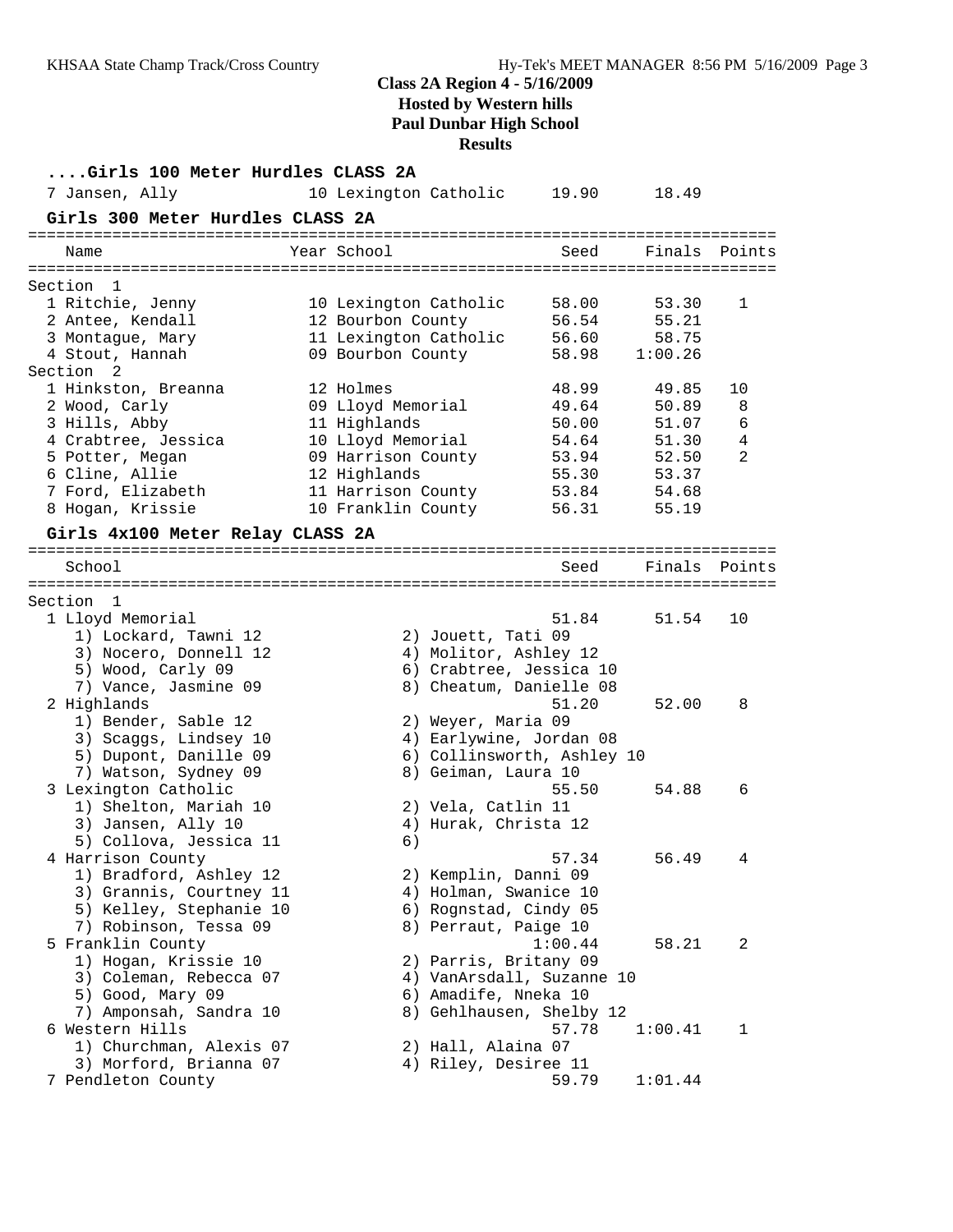| Girls 100 Meter Hurdles CLASS 2A                  |                                          |                                            |                                                       |                |        |
|---------------------------------------------------|------------------------------------------|--------------------------------------------|-------------------------------------------------------|----------------|--------|
| 7 Jansen, Ally                                    | 10 Lexington Catholic                    |                                            | 19.90                                                 | 18.49          |        |
| Girls 300 Meter Hurdles CLASS 2A                  |                                          |                                            |                                                       |                |        |
| Name                                              | Year School                              |                                            | Seed                                                  | Finals         | Points |
| Section <sub>1</sub>                              |                                          |                                            |                                                       |                |        |
| 1 Ritchie, Jenny                                  | 10 Lexington Catholic                    |                                            | 58.00                                                 | 53.30          | 1      |
| 2 Antee, Kendall                                  | 12 Bourbon County                        |                                            | 56.54                                                 | 55.21          |        |
| 3 Montague, Mary                                  | 11 Lexington Catholic                    |                                            | 56.60                                                 | 58.75          |        |
| 4 Stout, Hannah                                   | 09 Bourbon County                        |                                            | 58.98                                                 | 1:00.26        |        |
| Section 2                                         |                                          |                                            |                                                       |                |        |
| 1 Hinkston, Breanna                               | 12 Holmes                                |                                            | 48.99                                                 | 49.85          | 10     |
| 2 Wood, Carly                                     | 09 Lloyd Memorial                        |                                            | 49.64                                                 | 50.89          | 8      |
| 3 Hills, Abby                                     | 11 Highlands                             |                                            | 50.00                                                 | 51.07          | 6      |
| 4 Crabtree, Jessica                               | 10 Lloyd Memorial                        |                                            | 54.64                                                 | 51.30          | 4      |
| 5 Potter, Megan                                   | 09 Harrison County                       |                                            | 53.94                                                 | 52.50          | 2      |
| 6 Cline, Allie                                    | 12 Highlands                             |                                            | 55.30                                                 | 53.37          |        |
| 7 Ford, Elizabeth<br>8 Hogan, Krissie             | 11 Harrison County<br>10 Franklin County |                                            | 53.84<br>56.31                                        | 54.68<br>55.19 |        |
|                                                   |                                          |                                            |                                                       |                |        |
| Girls 4x100 Meter Relay CLASS 2A                  |                                          |                                            |                                                       |                |        |
| School                                            |                                          |                                            | Seed                                                  | Finals         | Points |
|                                                   |                                          |                                            |                                                       |                |        |
| Section 1                                         |                                          |                                            |                                                       |                |        |
| 1 Lloyd Memorial                                  |                                          |                                            | 51.84                                                 | 51.54          | 10     |
| 1) Lockard, Tawni 12                              |                                          | 2) Jouett, Tati 09                         |                                                       |                |        |
| 3) Nocero, Donnell 12                             |                                          | 4) Molitor, Ashley 12                      |                                                       |                |        |
| 5) Wood, Carly 09                                 |                                          |                                            | 6) Crabtree, Jessica 10                               |                |        |
| 7) Vance, Jasmine 09                              |                                          |                                            | 8) Cheatum, Danielle 08                               |                |        |
| 2 Highlands                                       |                                          |                                            | 51.20                                                 | 52.00          | 8      |
| 1) Bender, Sable 12                               |                                          | 2) Weyer, Maria 09                         |                                                       |                |        |
| 3) Scaggs, Lindsey 10<br>5) Dupont, Danille 09    |                                          |                                            | 4) Earlywine, Jordan 08<br>6) Collinsworth, Ashley 10 |                |        |
| 7) Watson, Sydney 09                              |                                          | 8) Geiman, Laura 10                        |                                                       |                |        |
| 3 Lexington Catholic                              |                                          |                                            | 55.50                                                 | 54.88          | 6      |
| 1) Shelton, Mariah 10                             |                                          | 2) Vela, Catlin 11                         |                                                       |                |        |
| 3) Jansen, Ally 10                                |                                          | 4) Hurak, Christa 12                       |                                                       |                |        |
| 5) Collova, Jessica 11                            | 6)                                       |                                            |                                                       |                |        |
| 4 Harrison County                                 |                                          |                                            | 57.34                                                 | 56.49          | 4      |
| 1) Bradford, Ashley 12                            |                                          | 2) Kemplin, Danni 09                       |                                                       |                |        |
| 3) Grannis, Courtney 11                           |                                          | 4) Holman, Swanice 10                      |                                                       |                |        |
| 5) Kelley, Stephanie 10                           |                                          | 6) Rognstad, Cindy 05                      |                                                       |                |        |
| 7) Robinson, Tessa 09                             |                                          | 8) Perraut, Paige 10                       |                                                       |                |        |
| 5 Franklin County                                 |                                          |                                            | 1:00.44                                               | 58.21          | 2      |
| 1) Hogan, Krissie 10                              |                                          | 2) Parris, Britany 09                      |                                                       |                |        |
| 3) Coleman, Rebecca 07                            |                                          |                                            | 4) VanArsdall, Suzanne 10                             |                |        |
| 5) Good, Mary 09                                  |                                          | 6) Amadife, Nneka 10                       |                                                       |                |        |
| 7) Amponsah, Sandra 10                            |                                          |                                            | 8) Gehlhausen, Shelby 12                              |                |        |
| 6 Western Hills                                   |                                          |                                            | 57.78                                                 | 1:00.41        | 1      |
| 1) Churchman, Alexis 07<br>3) Morford, Brianna 07 |                                          | 2) Hall, Alaina 07<br>4) Riley, Desiree 11 |                                                       |                |        |
| 7 Pendleton County                                |                                          |                                            | 59.79                                                 | 1:01.44        |        |
|                                                   |                                          |                                            |                                                       |                |        |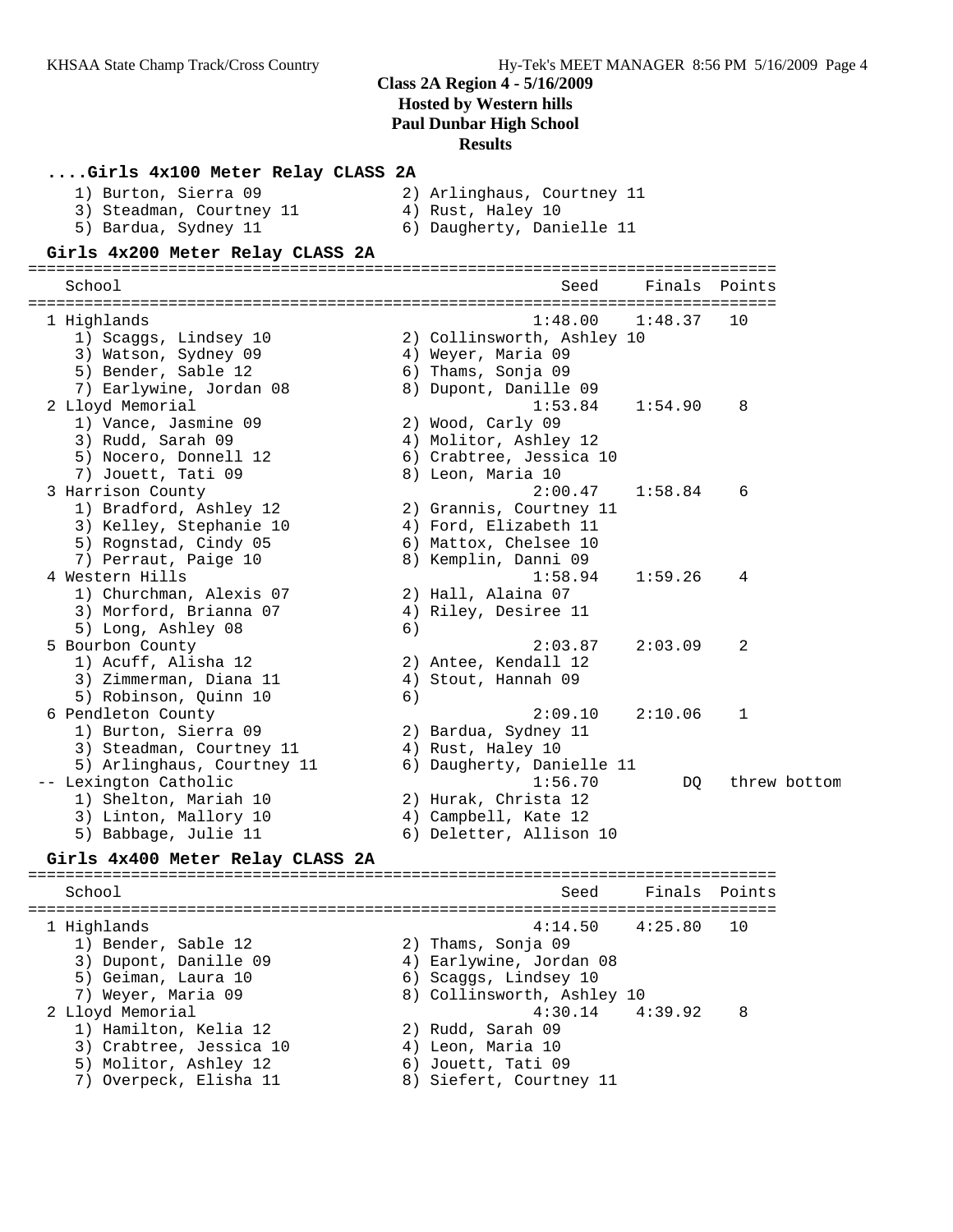| Girls 4x100 Meter Relay CLASS 2A<br>1) Burton, Sierra 09 |    | 2) Arlinghaus, Courtney 11                 |         |        |              |
|----------------------------------------------------------|----|--------------------------------------------|---------|--------|--------------|
| 3) Steadman, Courtney 11                                 |    | 4) Rust, Haley 10                          |         |        |              |
| 5) Bardua, Sydney 11                                     |    | 6) Daugherty, Danielle 11                  |         |        |              |
| Girls 4x200 Meter Relay CLASS 2A                         |    |                                            |         |        |              |
| School                                                   |    | Seed                                       | Finals  | Points |              |
| 1 Highlands                                              |    | 1:48.00                                    | 1:48.37 | 10     |              |
| 1) Scaggs, Lindsey 10                                    |    | 2) Collinsworth, Ashley 10                 |         |        |              |
| 3) Watson, Sydney 09                                     |    | 4) Weyer, Maria 09                         |         |        |              |
| 5) Bender, Sable 12                                      |    | 6) Thams, Sonja 09                         |         |        |              |
| 7) Earlywine, Jordan 08                                  |    | 8) Dupont, Danille 09<br>1:53.84           | 1:54.90 |        |              |
| 2 Lloyd Memorial<br>1) Vance, Jasmine 09                 |    |                                            |         | 8      |              |
| 3) Rudd, Sarah 09                                        |    | 2) Wood, Carly 09<br>4) Molitor, Ashley 12 |         |        |              |
| 5) Nocero, Donnell 12                                    |    | 6) Crabtree, Jessica 10                    |         |        |              |
| 7) Jouett, Tati 09                                       |    | 8) Leon, Maria 10                          |         |        |              |
| 3 Harrison County                                        |    | 2:00.47                                    | 1:58.84 | 6      |              |
| 1) Bradford, Ashley 12                                   |    | 2) Grannis, Courtney 11                    |         |        |              |
| 3) Kelley, Stephanie 10                                  |    | 4) Ford, Elizabeth 11                      |         |        |              |
| 5) Rognstad, Cindy 05                                    |    | 6) Mattox, Chelsee 10                      |         |        |              |
| 7) Perraut, Paige 10                                     |    | 8) Kemplin, Danni 09                       |         |        |              |
| 4 Western Hills                                          |    | 1:58.94                                    | 1:59.26 | 4      |              |
| 1) Churchman, Alexis 07                                  |    | 2) Hall, Alaina 07                         |         |        |              |
| 3) Morford, Brianna 07                                   |    | 4) Riley, Desiree 11                       |         |        |              |
| 5) Long, Ashley 08                                       | 6) |                                            |         |        |              |
| 5 Bourbon County                                         |    | 2:03.87                                    | 2:03.09 | 2      |              |
| 1) Acuff, Alisha 12                                      |    | 2) Antee, Kendall 12                       |         |        |              |
| 3) Zimmerman, Diana 11                                   |    | 4) Stout, Hannah 09                        |         |        |              |
| 5) Robinson, Quinn 10<br>6 Pendleton County              | 6) | 2:09.10                                    | 2:10.06 | 1      |              |
| 1) Burton, Sierra 09                                     |    | 2) Bardua, Sydney 11                       |         |        |              |
| 3) Steadman, Courtney 11                                 |    | 4) Rust, Haley 10                          |         |        |              |
| 5) Arlinghaus, Courtney 11                               |    | 6) Daugherty, Danielle 11                  |         |        |              |
| -- Lexington Catholic                                    |    | 1:56.70                                    | DQ      |        | threw bottom |
| 1) Shelton, Mariah 10                                    |    | 2) Hurak, Christa 12                       |         |        |              |
| 3) Linton, Mallory 10                                    |    | 4) Campbell, Kate 12                       |         |        |              |
| 5) Babbage, Julie 11                                     |    | 6) Deletter, Allison 10                    |         |        |              |
| Girls 4x400 Meter Relay CLASS 2A                         |    |                                            |         |        |              |
| School                                                   |    | Seed                                       | Finals  | Points |              |
|                                                          |    |                                            |         |        |              |
| 1 Highlands                                              |    | 4:14.50                                    | 4:25.80 | 10     |              |
| 1) Bender, Sable 12                                      |    | 2) Thams, Sonja 09                         |         |        |              |
| 3) Dupont, Danille 09                                    |    | 4) Earlywine, Jordan 08                    |         |        |              |
| 5) Geiman, Laura 10                                      |    | 6) Scaggs, Lindsey 10                      |         |        |              |
| 7) Weyer, Maria 09                                       |    | 8) Collinsworth, Ashley 10                 |         |        |              |
| 2 Lloyd Memorial                                         |    | 4:30.14                                    | 4:39.92 | 8      |              |
| 1) Hamilton, Kelia 12                                    |    | 2) Rudd, Sarah 09                          |         |        |              |
| 3) Crabtree, Jessica 10                                  |    | 4) Leon, Maria 10                          |         |        |              |
| 5) Molitor, Ashley 12                                    |    | 6) Jouett, Tati 09                         |         |        |              |
| 7) Overpeck, Elisha 11                                   |    | 8) Siefert, Courtney 11                    |         |        |              |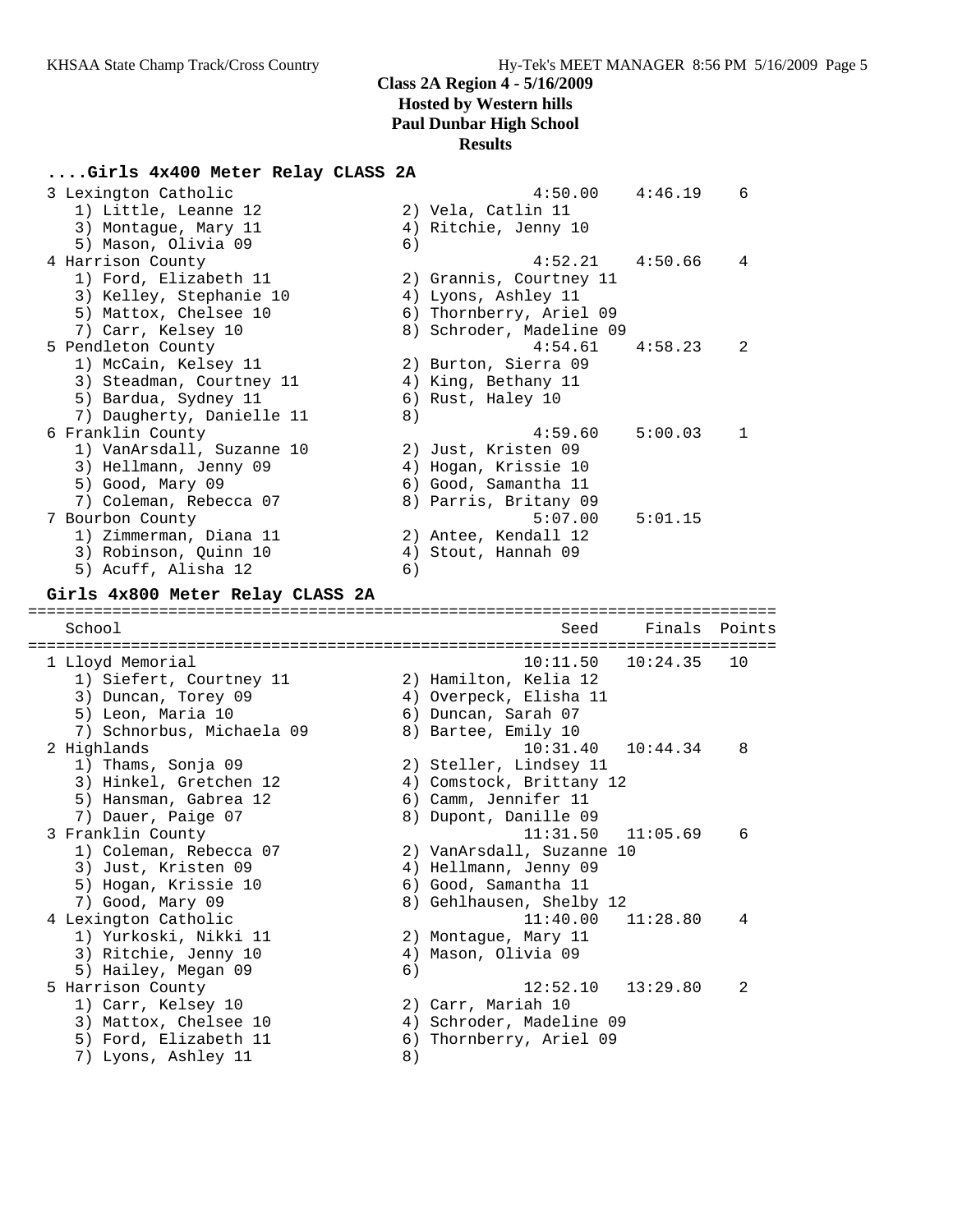### **....Girls 4x400 Meter Relay CLASS 2A**

| 3 Lexington Catholic<br>1) Little, Leanne 12<br>3) Montague, Mary 11<br>5) Mason, Olivia 09                                                       | 6) | 4:50.00<br>2) Vela, Catlin 11<br>4) Ritchie, Jenny 10                                                                                       | 4:46.19            | 6      |
|---------------------------------------------------------------------------------------------------------------------------------------------------|----|---------------------------------------------------------------------------------------------------------------------------------------------|--------------------|--------|
| 4 Harrison County<br>1) Ford, Elizabeth 11<br>3) Kelley, Stephanie 10<br>5) Mattox, Chelsee 10                                                    |    | 4:52.21<br>2) Grannis, Courtney 11<br>4) Lyons, Ashley 11<br>6) Thornberry, Ariel 09                                                        | 4:50.66            | 4      |
| 7) Carr, Kelsey 10<br>5 Pendleton County<br>1) McCain, Kelsey 11<br>3) Steadman, Courtney 11<br>5) Bardua, Sydney 11<br>7) Daugherty, Danielle 11 | 8) | 8) Schroder, Madeline 09<br>4:54.61<br>2) Burton, Sierra 09<br>4) King, Bethany 11<br>6) Rust, Haley 10                                     | 4:58.23            | 2      |
| 6 Franklin County<br>1) VanArsdall, Suzanne 10<br>3) Hellmann, Jenny 09<br>5) Good, Mary 09<br>7) Coleman, Rebecca 07<br>7 Bourbon County         |    | 4:59.60<br>2) Just, Kristen 09<br>4) Hogan, Krissie 10<br>6) Good, Samantha 11<br>8) Parris, Britany 09<br>5:07.00                          | 5:00.03<br>5:01.15 | 1      |
| 1) Zimmerman, Diana 11<br>3) Robinson, Quinn 10<br>5) Acuff, Alisha 12                                                                            | 6) | 2) Antee, Kendall 12<br>4) Stout, Hannah 09                                                                                                 |                    |        |
| Girls 4x800 Meter Relay CLASS 2A                                                                                                                  |    |                                                                                                                                             |                    |        |
| School                                                                                                                                            |    | Seed                                                                                                                                        | Finals             | Points |
|                                                                                                                                                   |    |                                                                                                                                             |                    |        |
| 1 Lloyd Memorial<br>1) Siefert, Courtney 11<br>3) Duncan, Torey 09<br>5) Leon, Maria 10                                                           |    | 10:11.50<br>2) Hamilton, Kelia 12<br>4) Overpeck, Elisha 11<br>6) Duncan, Sarah 07                                                          | 10:24.35           | 10     |
| 7) Schnorbus, Michaela 09<br>2 Highlands<br>1) Thams, Sonja 09<br>3) Hinkel, Gretchen 12<br>5) Hansman, Gabrea 12                                 |    | 8) Bartee, Emily 10<br>10:31.40<br>2) Steller, Lindsey 11<br>4) Comstock, Brittany 12<br>6) Camm, Jennifer 11                               | 10:44.34           | 8      |
| 7) Dauer, Paige 07<br>3 Franklin County<br>1) Coleman, Rebecca 07<br>3) Just, Kristen 09<br>5) Hogan, Krissie 10<br>7) Good, Mary 09              |    | 8) Dupont, Danille 09<br>11:31.50<br>2) VanArsdall, Suzanne 10<br>4) Hellmann, Jenny 09<br>6) Good, Samantha 11<br>8) Gehlhausen, Shelby 12 | 11:05.69           | 6      |
| 4 Lexington Catholic<br>1) Yurkoski, Nikki 11<br>3) Ritchie, Jenny 10                                                                             | 6) | 11:40.00<br>2) Montague, Mary 11<br>4) Mason, Olivia 09                                                                                     | 11:28.80           | 4      |
| 5) Hailey, Megan 09<br>5 Harrison County<br>1) Carr, Kelsey 10<br>3) Mattox, Chelsee 10<br>5) Ford, Elizabeth 11<br>7) Lyons, Ashley 11           | 8) | 12:52.10<br>2) Carr, Mariah 10<br>4) Schroder, Madeline 09<br>6) Thornberry, Ariel 09                                                       | 13:29.80           | 2      |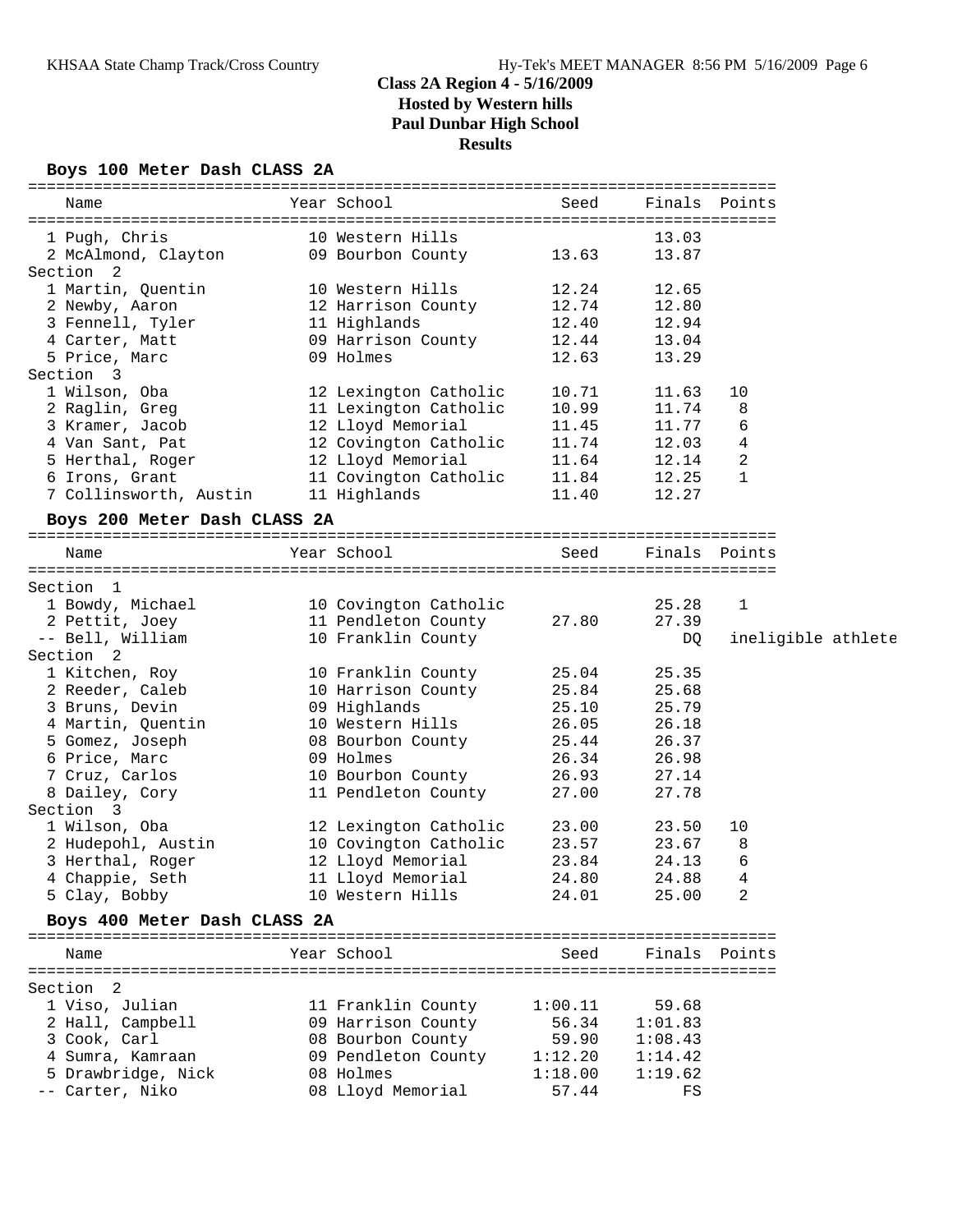### **Boys 100 Meter Dash CLASS 2A**

| Name                                                                                                                            | Year School and the School                                                            |                | Seed Finals Points               |               |                    |
|---------------------------------------------------------------------------------------------------------------------------------|---------------------------------------------------------------------------------------|----------------|----------------------------------|---------------|--------------------|
| 1 Pugh, Chris                                                                                                                   | 10 Western Hills                                                                      |                | 13.03                            |               |                    |
| 2 McAlmond, Clayton 09 Bourbon County 13.63                                                                                     |                                                                                       |                | 13.87                            |               |                    |
| Section 2                                                                                                                       |                                                                                       |                |                                  |               |                    |
| 1 Martin, Quentin                                                                                                               | 10 Western Hills 12.24                                                                |                | 12.65                            |               |                    |
| 2 Newby, Aaron<br>3 Fennell, Tyler<br>4 Carter, Matt                                                                            | 12 Harrison County 12.74                                                              |                | 12.80                            |               |                    |
|                                                                                                                                 | 11 Highlands<br>11 Highlands 12.40<br>09 Harrison County 12.44                        |                | 12.94                            |               |                    |
|                                                                                                                                 |                                                                                       |                | 13.04                            |               |                    |
| 5 Price, Marc                                                                                                                   | 09 Holmes                                                                             | 12.63          | 13.29                            |               |                    |
| Section 3                                                                                                                       |                                                                                       |                |                                  |               |                    |
| 1 Wilson, Oba                                                                                                                   | 12 Lexington Catholic                                                                 | 10.71          | 11.63                            | 10            |                    |
| 2 Raglin, Greg                                                                                                                  |                                                                                       |                |                                  | 8             |                    |
| 3 Kramer, Jacob                                                                                                                 |                                                                                       |                |                                  | 6             |                    |
| 4 Van Sant, Pat                                                                                                                 | 11 Lexington Catholic 10.99<br>12 Lloyd Memorial 11.45<br>12 Covington Catholic 11.74 |                |                                  | 4             |                    |
| 5 Herthal, Roger                                                                                                                | 12 Lloyd Memorial 11.64                                                               |                | 11.74<br>11.77<br>12.03<br>12.14 | 2             |                    |
| 6 Irons, Grant                                                                                                                  | 11 Covington Catholic 11.84                                                           |                | 12.25                            | $\mathbf{1}$  |                    |
| 7 Collinsworth, Austin 11 Highlands 11.40                                                                                       |                                                                                       |                | 12.27                            |               |                    |
| Boys 200 Meter Dash CLASS 2A                                                                                                    |                                                                                       |                |                                  |               |                    |
| Name                                                                                                                            | Year School and the School and the School                                             | Seed           |                                  | Finals Points |                    |
|                                                                                                                                 |                                                                                       |                |                                  |               |                    |
| Section 1                                                                                                                       |                                                                                       |                |                                  |               |                    |
|                                                                                                                                 |                                                                                       |                | 25.28                            | 1             |                    |
| 1 Bowdy, Michael 10 Covington Catholic<br>2 Pettit, Joey 11 Pendleton County 27.80<br>-- Bell, William 10 Franklin County 27.80 |                                                                                       |                | 27.39                            |               |                    |
| -- Bell, William                                                                                                                | 10 Franklin County                                                                    |                | DQ                               |               | ineligible athlete |
| Section 2                                                                                                                       |                                                                                       |                |                                  |               |                    |
| 1 Kitchen, Roy                                                                                                                  | 10 Franklin County 25.04                                                              |                | 25.35                            |               |                    |
| 2 Reeder, Caleb                                                                                                                 | 10 Harrison County 25.84                                                              |                | 25.68                            |               |                    |
| 3 Bruns, Devin                                                                                                                  |                                                                                       |                | 25.79                            |               |                    |
|                                                                                                                                 | 09 Highlands<br>10 Western Hills                                                      | 25.10<br>26.05 | 26.18                            |               |                    |
| 4 Martin, Quentin<br>5 Gomez, Joseph                                                                                            | 08 Bourbon County 25.44                                                               |                | 26.37                            |               |                    |
| 6 Price, Marc                                                                                                                   | 09 Holmes                                                                             | 26.34          | 26.98                            |               |                    |
| 7 Cruz, Carlos                                                                                                                  | 10 Bourbon County 26.93                                                               |                | 27.14                            |               |                    |
| 8 Dailey, Cory                                                                                                                  | 11 Pendleton County 27.00                                                             |                | 27.78                            |               |                    |
| Section 3                                                                                                                       |                                                                                       |                |                                  |               |                    |
| 1 Wilson, Oba                                                                                                                   | 12 Lexington Catholic 23.00                                                           |                | 23.50                            | 10            |                    |
| 1 Wilson, Oba<br>2 Hudepohl, Austin                                                                                             | 10 Covington Catholic 23.57                                                           |                | 23.67                            | 8             |                    |
| 3 Herthal, Roger                                                                                                                | 12 Lloyd Memorial                                                                     | 23.84          | 24.13                            | 6             |                    |
| 4 Chappie, Seth                                                                                                                 | 11 Lloyd Memorial                                                                     | 24.80          | 24.88                            | 4             |                    |
| 5 Clay, Bobby                                                                                                                   | 10 Western Hills                                                                      | 24.01          | 25.00                            | 2             |                    |
| Boys 400 Meter Dash CLASS 2A                                                                                                    |                                                                                       |                |                                  |               |                    |
| Name                                                                                                                            | Year School                                                                           | Seed           |                                  | Finals Points |                    |
|                                                                                                                                 |                                                                                       |                |                                  |               |                    |
| Section 2                                                                                                                       |                                                                                       |                |                                  |               |                    |
| 1 Viso, Julian                                                                                                                  | 11 Franklin County                                                                    | 1:00.11        | 59.68                            |               |                    |
| 2 Hall, Campbell                                                                                                                | 09 Harrison County                                                                    | 56.34          | 1:01.83                          |               |                    |
| 3 Cook, Carl                                                                                                                    | 08 Bourbon County                                                                     | 59.90          | 1:08.43                          |               |                    |
| 4 Sumra, Kamraan                                                                                                                | 09 Pendleton County                                                                   | 1:12.20        | 1:14.42                          |               |                    |
| 5 Drawbridge, Nick                                                                                                              | 08 Holmes                                                                             | 1:18.00        | 1:19.62                          |               |                    |
| -- Carter, Niko                                                                                                                 | 08 Lloyd Memorial                                                                     | 57.44          | FS                               |               |                    |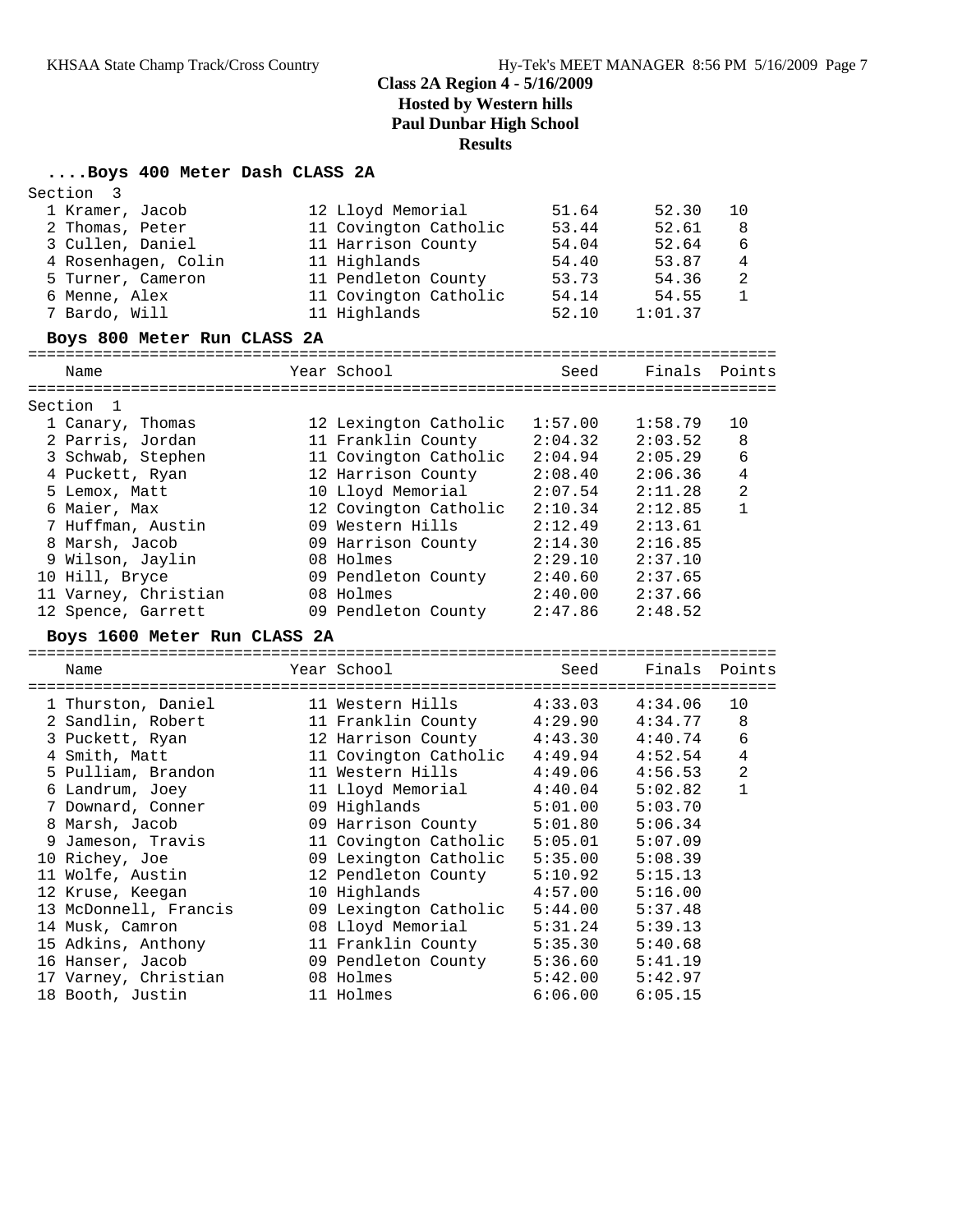# **....Boys 400 Meter Dash CLASS 2A**

| Section | 3                            |                                           |         |               |                |
|---------|------------------------------|-------------------------------------------|---------|---------------|----------------|
|         | 1 Kramer, Jacob              | 12 Lloyd Memorial                         | 51.64   | 52.30         | 10             |
|         | 2 Thomas, Peter              | 11 Covington Catholic                     | 53.44   | 52.61         | 8              |
|         | 3 Cullen, Daniel             | 11 Harrison County                        | 54.04   | 52.64         | 6              |
|         | 4 Rosenhagen, Colin          | 11 Highlands                              | 54.40   | 53.87         | 4              |
|         | 5 Turner, Cameron            | 11 Pendleton County                       | 53.73   | 54.36         | $\overline{2}$ |
|         | 6 Menne, Alex                | 11 Covington Catholic                     | 54.14   | 54.55         | 1              |
|         | 7 Bardo, Will                | 11 Highlands                              | 52.10   | 1:01.37       |                |
|         | Boys 800 Meter Run CLASS 2A  |                                           |         |               |                |
|         | Name                         | Year School                               | Seed    | Finals Points |                |
| Section | 1                            |                                           |         |               |                |
|         | 1 Canary, Thomas             | 12 Lexington Catholic                     | 1:57.00 | 1:58.79       | 10             |
|         | 2 Parris, Jordan             | 11 Franklin County                        | 2:04.32 | 2:03.52       | 8              |
|         | 3 Schwab, Stephen            | 11 Covington Catholic                     | 2:04.94 | 2:05.29       | 6              |
|         | 4 Puckett, Ryan              | 12 Harrison County                        | 2:08.40 | 2:06.36       | 4              |
|         | 5 Lemox, Matt                | 10 Lloyd Memorial                         | 2:07.54 | 2:11.28       | $\overline{2}$ |
|         | 6 Maier, Max                 |                                           | 2:10.34 |               | $\mathbf{1}$   |
|         |                              | 12 Covington Catholic<br>09 Western Hills | 2:12.49 | 2:12.85       |                |
|         | 7 Huffman, Austin            |                                           |         | 2:13.61       |                |
|         | 8 Marsh, Jacob               | 09 Harrison County                        | 2:14.30 | 2:16.85       |                |
|         | 9 Wilson, Jaylin             | 08 Holmes                                 | 2:29.10 | 2:37.10       |                |
|         | 10 Hill, Bryce               | 09 Pendleton County                       | 2:40.60 | 2:37.65       |                |
|         | 11 Varney, Christian         | 08 Holmes                                 | 2:40.00 | 2:37.66       |                |
|         | 12 Spence, Garrett           | 09 Pendleton County                       | 2:47.86 | 2:48.52       |                |
|         | Boys 1600 Meter Run CLASS 2A |                                           |         |               |                |
|         | Name                         | Year School                               | Seed    | Finals        | Points         |
|         | 1 Thurston, Daniel           | 11 Western Hills                          | 4:33.03 | 4:34.06       | 10             |
|         | 2 Sandlin, Robert            | 11 Franklin County                        | 4:29.90 | 4:34.77       | 8              |
|         | 3 Puckett, Ryan              | 12 Harrison County                        | 4:43.30 | 4:40.74       | 6              |
|         | 4 Smith, Matt                | 11 Covington Catholic                     | 4:49.94 | 4:52.54       | 4              |
|         | 5 Pulliam, Brandon           | 11 Western Hills                          | 4:49.06 | 4:56.53       | 2              |
|         | 6 Landrum, Joey              | 11 Lloyd Memorial                         | 4:40.04 | 5:02.82       | $\mathbf{1}$   |
|         | 7 Downard, Conner            | 09 Highlands                              | 5:01.00 | 5:03.70       |                |
|         |                              | 09 Harrison County                        |         |               |                |
|         | 8 Marsh, Jacob               |                                           | 5:01.80 | 5:06.34       |                |
|         | 9 Jameson, Travis            | 11 Covington Catholic                     | 5:05.01 | 5:07.09       |                |
|         | 10 Richey, Joe               | 09 Lexington Catholic                     | 5:35.00 | 5:08.39       |                |
|         | 11 Wolfe, Austin             | 12 Pendleton County                       | 5:10.92 | 5:15.13       |                |
|         | 12 Kruse, Keegan             | 10 Highlands                              | 4:57.00 | 5:16.00       |                |
|         | 13 McDonnell, Francis        | 09 Lexington Catholic                     | 5:44.00 | 5:37.48       |                |
|         | 14 Musk, Camron              | 08 Lloyd Memorial                         | 5:31.24 | 5:39.13       |                |
|         | 15 Adkins, Anthony           | 11 Franklin County                        | 5:35.30 | 5:40.68       |                |
|         | 16 Hanser, Jacob             | 09 Pendleton County                       | 5:36.60 | 5:41.19       |                |
|         | 17 Varney, Christian         | 08 Holmes                                 | 5:42.00 | 5:42.97       |                |
|         | 18 Booth, Justin             | 11 Holmes                                 | 6:06.00 | 6:05.15       |                |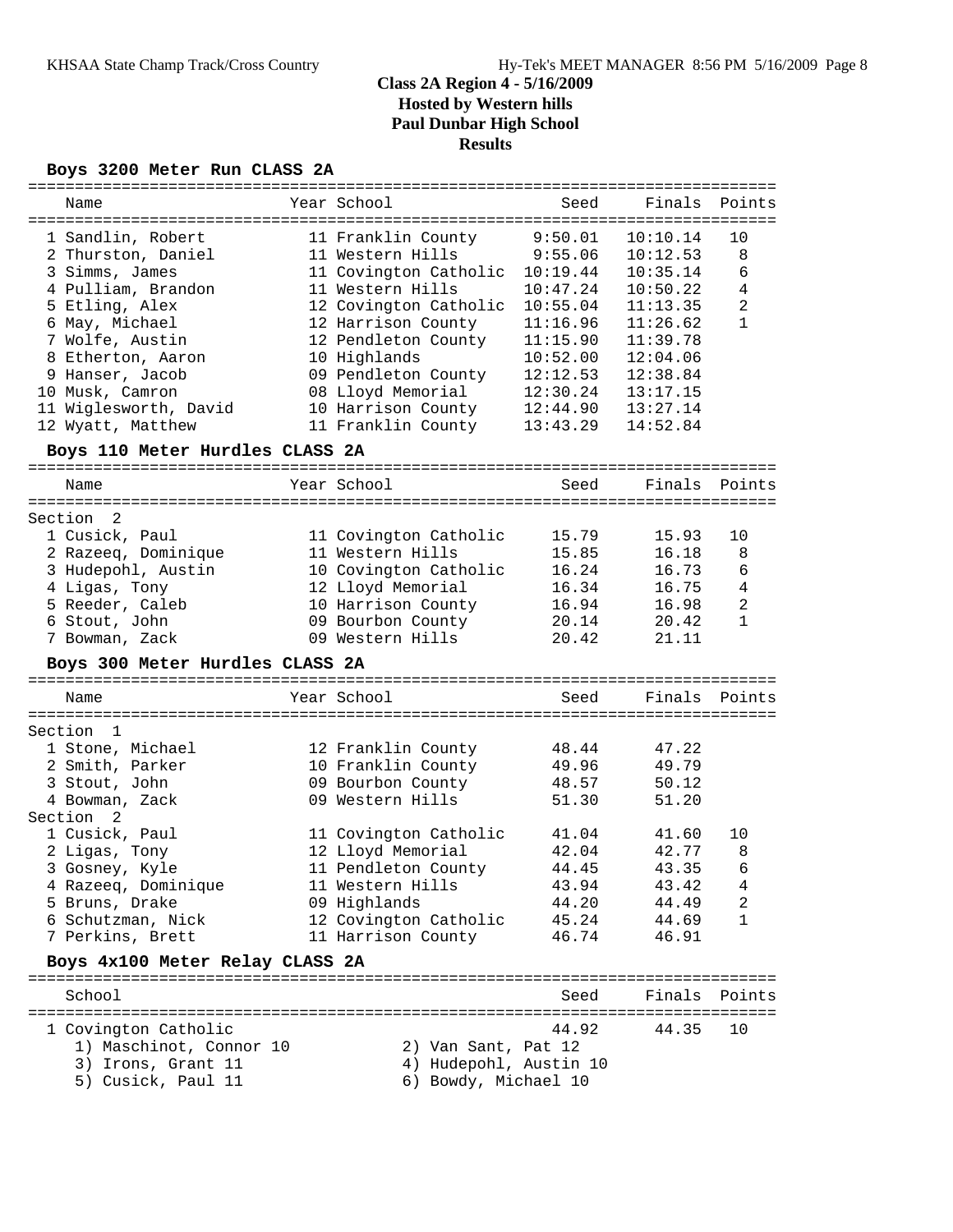### **Boys 3200 Meter Run CLASS 2A**

| =============                   |                                |          |                 |        |
|---------------------------------|--------------------------------|----------|-----------------|--------|
| Name                            | Year School                    | Seed     | Finals          | Points |
|                                 |                                |          |                 |        |
| 1 Sandlin, Robert               | 11 Franklin County             | 9:50.01  | 10:10.14        | 10     |
| 2 Thurston, Daniel              | 11 Western Hills               | 9:55.06  | 10:12.53        | 8      |
| 3 Simms, James                  | 11 Covington Catholic 10:19.44 |          | 10:35.14        | 6      |
| 4 Pulliam, Brandon              | 11 Western Hills               | 10:47.24 | 10:50.22        | 4      |
| 5 Etling, Alex                  | 12 Covington Catholic          | 10:55.04 | 11:13.35        | 2      |
| 6 May, Michael                  | 12 Harrison County             | 11:16.96 | 11:26.62        | 1      |
| 7 Wolfe, Austin                 | 12 Pendleton County            | 11:15.90 | 11:39.78        |        |
| 8 Etherton, Aaron               | 10 Highlands                   | 10:52.00 | 12:04.06        |        |
| 9 Hanser, Jacob                 | 09 Pendleton County            | 12:12.53 | 12:38.84        |        |
| 10 Musk, Camron                 | 08 Lloyd Memorial              | 12:30.24 | 13:17.15        |        |
| 11 Wiglesworth, David           | 10 Harrison County             | 12:44.90 | 13:27.14        |        |
| 12 Wyatt, Matthew               |                                | 13:43.29 | 14:52.84        |        |
|                                 | 11 Franklin County             |          |                 |        |
| Boys 110 Meter Hurdles CLASS 2A |                                |          |                 |        |
| Name                            | Year School                    | Seed     | Finals          | Points |
|                                 |                                |          |                 |        |
| Section<br>2                    |                                |          |                 |        |
| 1 Cusick, Paul                  | 11 Covington Catholic          | 15.79    | 15.93           | 10     |
| 2 Razeeq, Dominique             | 11 Western Hills               | 15.85    | 16.18           | 8      |
| 3 Hudepohl, Austin              | 10 Covington Catholic          | 16.24    | 16.73           | 6      |
| 4 Ligas, Tony                   | 12 Lloyd Memorial              | 16.34    | 16.75           | 4      |
| 5 Reeder, Caleb                 | 10 Harrison County             | 16.94    | 16.98           | 2      |
| 6 Stout, John                   | 09 Bourbon County              | 20.14    | 20.42           | 1      |
| 7 Bowman, Zack                  | 09 Western Hills               | 20.42    | 21.11           |        |
|                                 |                                |          |                 |        |
| Boys 300 Meter Hurdles CLASS 2A |                                |          |                 |        |
| Name                            | Year School                    | Seed     | Finals          | Points |
|                                 |                                |          |                 |        |
| Section<br>- 1                  |                                |          |                 |        |
| 1 Stone, Michael                | 12 Franklin County             | 48.44    | 47.22           |        |
| 2 Smith, Parker                 | 10 Franklin County             | 49.96    | 49.79           |        |
| 3 Stout, John                   | 09 Bourbon County              | 48.57    | 50.12           |        |
| 4 Bowman, Zack                  | 09 Western Hills               | 51.30    | 51.20           |        |
| Section<br>$\overline{2}$       |                                |          |                 |        |
| 1 Cusick, Paul                  | 11 Covington Catholic          | 41.04    | 41.60           | 10     |
| 2 Ligas, Tony                   | 12 Lloyd Memorial              | 42.04    | 42.77           | 8      |
| 3 Gosney, Kyle                  | 11 Pendleton County            | 44.45    | 43.35           | 6      |
| 4 Razeeq, Dominique             | 11 Western Hills               | 43.94    | 43.42           | 4      |
| 5 Bruns, Drake                  | 09 Highlands                   | 44.20    | 44.49           | 2      |
| 6 Schutzman, Nick               | 12 Covington Catholic          | 45.24    | 44.69           | 1      |
|                                 |                                |          |                 |        |
| 7 Perkins, Brett                | 11 Harrison County             | 46.74    | 46.91           |        |
| Boys 4x100 Meter Relay CLASS 2A |                                |          | --------------- |        |
| School                          |                                | Seed     | Finals          | Points |
|                                 |                                |          |                 |        |
| 1 Covington Catholic            |                                | 44.92    | 44.35           | 10     |
| 1) Maschinot, Connor 10         | 2) Van Sant, Pat 12            |          |                 |        |
| 3) Irons, Grant 11              | 4) Hudepohl, Austin 10         |          |                 |        |
| 5) Cusick, Paul 11              | 6) Bowdy, Michael 10           |          |                 |        |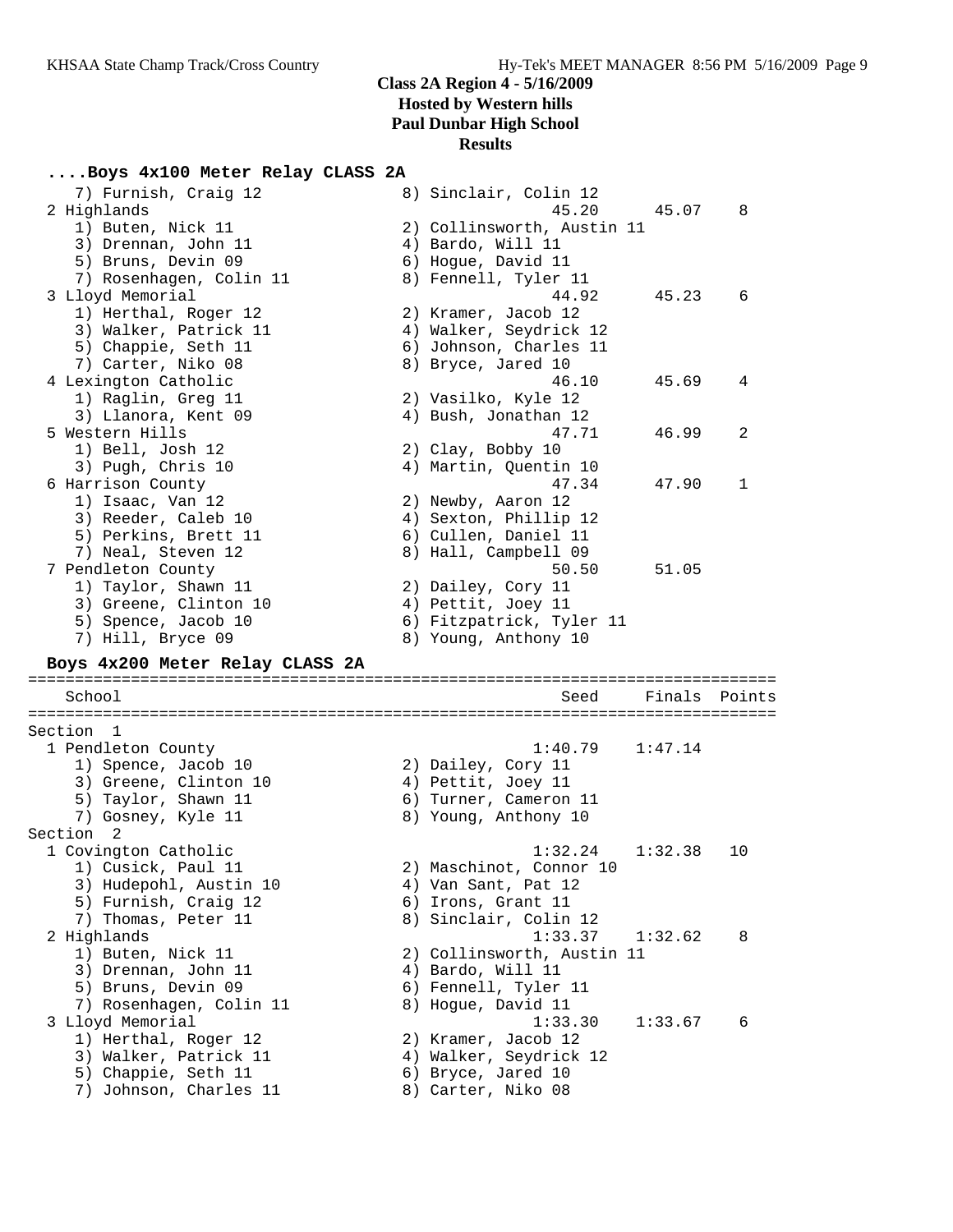### **....Boys 4x100 Meter Relay CLASS 2A**

| 7) Furnish, Craig 12<br>2 Highlands<br>1) Buten, Nick 11<br>3) Drennan, John 11<br>5) Bruns, Devin 09                        | 8) Sinclair, Colin 12<br>45.20<br>2) Collinsworth, Austin 11<br>4) Bardo, Will 11<br>6) Hogue, David 11  | 45.07   | 8      |
|------------------------------------------------------------------------------------------------------------------------------|----------------------------------------------------------------------------------------------------------|---------|--------|
| 7) Rosenhagen, Colin 11<br>3 Lloyd Memorial<br>1) Herthal, Roger 12<br>3) Walker, Patrick 11                                 | 8) Fennell, Tyler 11<br>44.92<br>2) Kramer, Jacob 12<br>4) Walker, Seydrick 12                           | 45.23   | 6      |
| 5) Chappie, Seth 11<br>7) Carter, Niko 08<br>4 Lexington Catholic                                                            | 6) Johnson, Charles 11<br>8) Bryce, Jared 10<br>46.10                                                    | 45.69   | 4      |
| 1) Raglin, Greg 11<br>3) Llanora, Kent 09<br>5 Western Hills                                                                 | 2) Vasilko, Kyle 12<br>4) Bush, Jonathan 12<br>47.71                                                     | 46.99   | 2      |
| 1) Bell, Josh 12<br>3) Pugh, Chris 10<br>6 Harrison County                                                                   | 2) Clay, Bobby 10<br>4) Martin, Quentin 10<br>47.34                                                      | 47.90   | 1      |
| 1) Isaac, Van 12<br>3) Reeder, Caleb 10<br>5) Perkins, Brett 11<br>7) Neal, Steven 12                                        | 2) Newby, Aaron 12<br>4) Sexton, Phillip 12<br>6) Cullen, Daniel 11<br>8) Hall, Campbell 09              |         |        |
| 7 Pendleton County<br>1) Taylor, Shawn 11<br>3) Greene, Clinton 10<br>5) Spence, Jacob 10                                    | 50.50<br>2) Dailey, Cory 11<br>4) Pettit, Joey 11<br>6) Fitzpatrick, Tyler 11<br>8) Young, Anthony 10    | 51.05   |        |
| 7) Hill, Bryce 09                                                                                                            |                                                                                                          |         |        |
| Boys 4x200 Meter Relay CLASS 2A                                                                                              |                                                                                                          |         |        |
| School                                                                                                                       | Seed                                                                                                     | Finals  | Points |
| Section 1<br>1 Pendleton County<br>1) Spence, Jacob 10<br>3) Greene, Clinton 10<br>5) Taylor, Shawn 11<br>7) Gosney, Kyle 11 | 1:40.79<br>2) Dailey, Cory 11<br>4) Pettit, Joey 11<br>6) Turner, Cameron 11<br>8) Young, Anthony 10     | 1:47.14 |        |
| Section 2                                                                                                                    |                                                                                                          |         |        |
| 1 Covington Catholic<br>1) Cusick, Paul 11<br>3) Hudepohl, Austin 10<br>5) Furnish, Craig 12<br>7) Thomas, Peter 11          | 1:32.24<br>2) Maschinot, Connor 10<br>4) Van Sant, Pat 12<br>6) Irons, Grant 11<br>8) Sinclair, Colin 12 | 1:32.38 | 10     |
| 2 Highlands<br>1) Buten, Nick 11<br>3) Drennan, John 11<br>5) Bruns, Devin 09<br>7) Rosenhagen, Colin 11                     | 1:33.37<br>2) Collinsworth, Austin 11<br>4) Bardo, Will 11<br>6) Fennell, Tyler 11<br>8) Hogue, David 11 | 1:32.62 | 8      |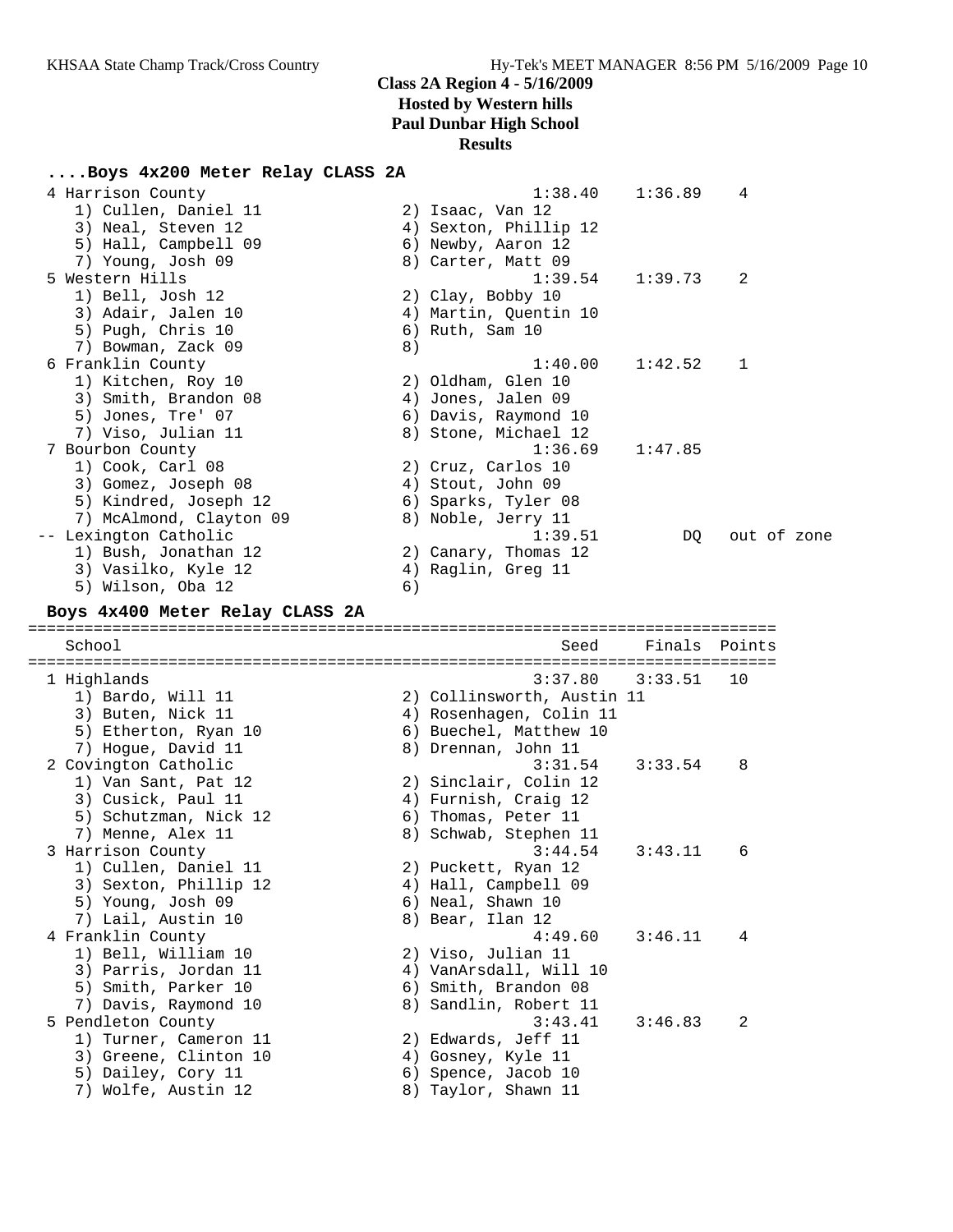# **Class 2A Region 4 - 5/16/2009 Hosted by Western hills**

**Paul Dunbar High School**

# **Results**

### **....Boys 4x200 Meter Relay CLASS 2A**

| 4 Harrison County<br>1) Cullen, Daniel 11<br>3) Neal, Steven 12<br>5) Hall, Campbell 09                                                  |    | 1:38.40<br>2) Isaac, Van 12<br>4) Sexton, Phillip 12<br>6) Newby, Aaron 12                                                      | 1:36.89       | 4           |  |
|------------------------------------------------------------------------------------------------------------------------------------------|----|---------------------------------------------------------------------------------------------------------------------------------|---------------|-------------|--|
| 7) Young, Josh 09<br>5 Western Hills<br>1) Bell, Josh 12<br>3) Adair, Jalen 10<br>5) Pugh, Chris 10<br>7) Bowman, Zack 09                | 8) | 8) Carter, Matt 09<br>1:39.54<br>2) Clay, Bobby 10<br>4) Martin, Quentin 10<br>6) Ruth, Sam 10                                  | 1:39.73       | 2           |  |
| 6 Franklin County<br>1) Kitchen, Roy 10<br>3) Smith, Brandon 08<br>5) Jones, Tre' 07<br>7) Viso, Julian 11                               |    | 1:40.00<br>2) Oldham, Glen 10<br>4) Jones, Jalen 09<br>6) Davis, Raymond 10<br>8) Stone, Michael 12                             | 1:42.52       | 1           |  |
| 7 Bourbon County<br>1) Cook, Carl 08<br>3) Gomez, Joseph 08<br>5) Kindred, Joseph 12<br>7) McAlmond, Clayton 09<br>-- Lexington Catholic |    | 1:36.69<br>2) Cruz, Carlos 10<br>4) Stout, John 09<br>6) Sparks, Tyler 08<br>8) Noble, Jerry 11<br>1:39.51                      | 1:47.85<br>DQ | out of zone |  |
| 1) Bush, Jonathan 12<br>3) Vasilko, Kyle 12<br>5) Wilson, Oba 12<br>Boys 4x400 Meter Relay CLASS 2A                                      | 6) | 2) Canary, Thomas 12<br>4) Raglin, Greg 11                                                                                      |               |             |  |
|                                                                                                                                          |    |                                                                                                                                 |               |             |  |
| School                                                                                                                                   |    | Seed                                                                                                                            | Finals        | Points      |  |
|                                                                                                                                          |    |                                                                                                                                 |               |             |  |
| 1 Highlands<br>1) Bardo, Will 11<br>3) Buten, Nick 11<br>5) Etherton, Ryan 10                                                            |    | 3:37.80<br>2) Collinsworth, Austin 11<br>4) Rosenhagen, Colin 11<br>6) Buechel, Matthew 10                                      | 3:33.51       | 10          |  |
| 7) Hogue, David 11<br>2 Covington Catholic<br>1) Van Sant, Pat 12<br>3) Cusick, Paul 11<br>5) Schutzman, Nick 12<br>7) Menne, Alex 11    |    | 8) Drennan, John 11<br>3:31.54<br>2) Sinclair, Colin 12<br>4) Furnish, Craig 12<br>6) Thomas, Peter 11<br>8) Schwab, Stephen 11 | 3:33.54       | 8           |  |
| 3 Harrison County<br>1) Cullen, Daniel 11<br>3) Sexton, Phillip 12<br>5) Young, Josh 09<br>7) Lail, Austin 10                            |    | 3:44.54<br>2) Puckett, Ryan 12<br>4) Hall, Campbell 09<br>6) Neal, Shawn 10<br>8) Bear, Ilan 12                                 | 3:43.11       | 6           |  |
| 4 Franklin County<br>1) Bell, William 10<br>3) Parris, Jordan 11<br>5) Smith, Parker 10<br>7) Davis, Raymond 10                          |    | 4:49.60<br>2) Viso, Julian 11<br>4) VanArsdall, Will 10<br>6) Smith, Brandon 08<br>8) Sandlin, Robert 11<br>3:43.41             | 3:46.11       | 4           |  |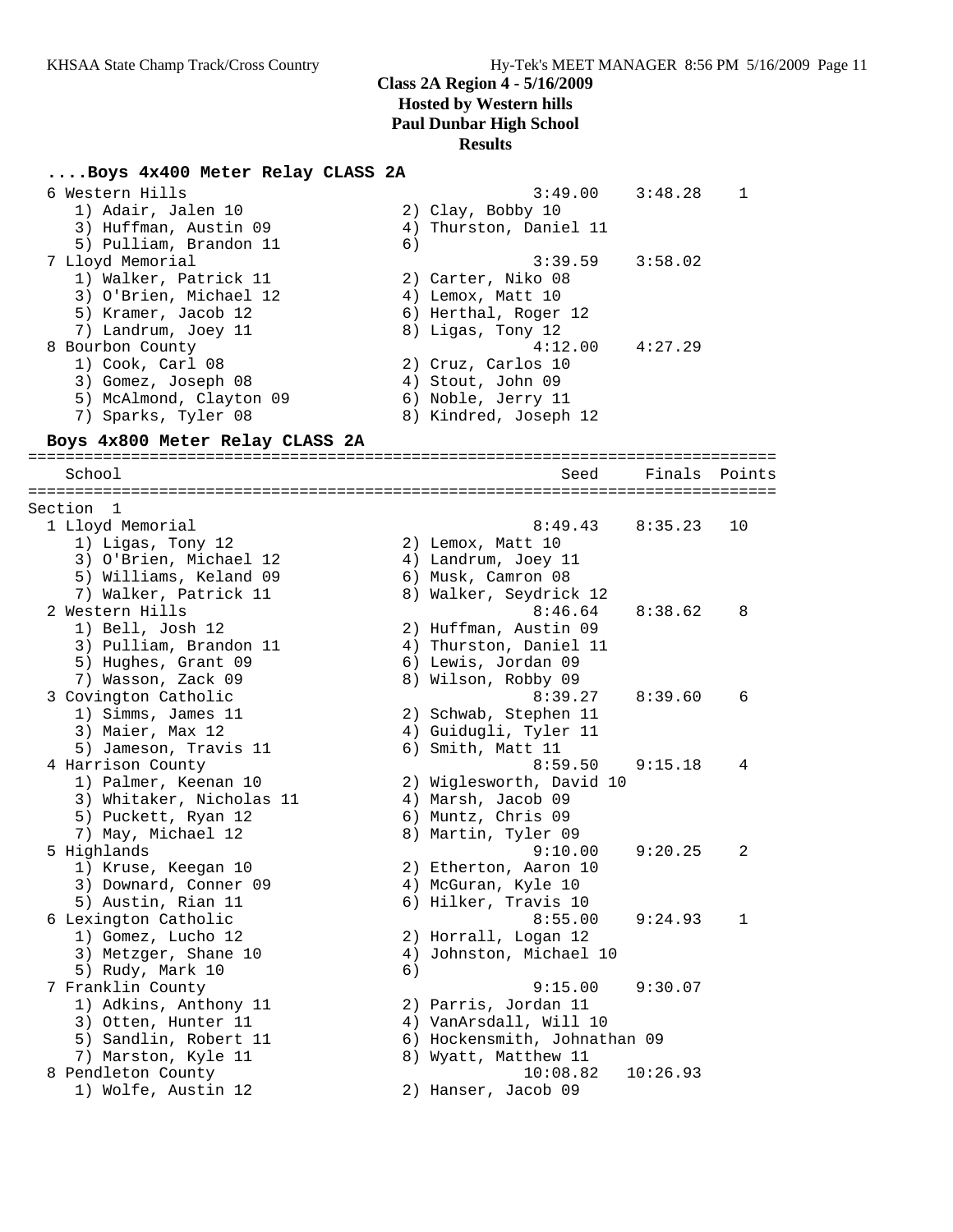#### **....Boys 4x400 Meter Relay CLASS 2A**

| 6 Western Hills         | 3:49.00                | 3:48.28 |  |
|-------------------------|------------------------|---------|--|
| 1) Adair, Jalen 10      | 2) Clay, Bobby 10      |         |  |
| 3) Huffman, Austin 09   | 4) Thurston, Daniel 11 |         |  |
| 5) Pulliam, Brandon 11  | 6)                     |         |  |
| 7 Lloyd Memorial        | $3:39.59$ $3:58.02$    |         |  |
| 1) Walker, Patrick 11   | 2) Carter, Niko 08     |         |  |
| 3) O'Brien, Michael 12  | 4) Lemox, Matt 10      |         |  |
| 5) Kramer, Jacob 12     | 6) Herthal, Roger 12   |         |  |
| 7) Landrum, Joey 11     | 8) Ligas, Tony 12      |         |  |
| 8 Bourbon County        | 4:12.00                | 4:27.29 |  |
| 1) Cook, Carl 08        | 2) Cruz, Carlos 10     |         |  |
| 3) Gomez, Joseph 08     | 4) Stout, John 09      |         |  |
| 5) McAlmond, Clayton 09 | 6) Noble, Jerry 11     |         |  |
| 7) Sparks, Tyler 08     | 8) Kindred, Joseph 12  |         |  |

#### **Boys 4x800 Meter Relay CLASS 2A**

================================================================================ School Seed Finals Points ================================================================================ Section 1 1 Lloyd Memorial 8:49.43 8:35.23 10 1) Ligas, Tony 12 2) Lemox, Matt 10 3) O'Brien, Michael 12 4) Landrum, Joey 11 5) Williams, Keland 09 6) Musk, Camron 08 7) Walker, Patrick 11 8) Walker, Seydrick 12 2 Western Hills 8:46.64 8:38.62 8 1) Bell, Josh 12 2) Huffman, Austin 09 3) Pulliam, Brandon 11 4) Thurston, Daniel 11 5) Hughes, Grant 09 (6) Lewis, Jordan 09 7) Wasson, Zack 09 8) Wilson, Robby 09 3 Covington Catholic 8:39.27 8:39.60 6 1) Simms, James 11 2) Schwab, Stephen 11 3) Maier, Max 12 4) Guidugli, Tyler 11 5) Jameson, Travis 11 (6) Smith, Matt 11 4 Harrison County 8:59.50 9:15.18 4 1) Palmer, Keenan 10 2) Wiglesworth, David 10 3) Whitaker, Nicholas 11 (4) Marsh, Jacob 09 5) Puckett, Ryan 12 (6) Muntz, Chris 09 7) May, Michael 12 8) Martin, Tyler 09 5 Highlands 9:10.00 9:20.25 2 1) Kruse, Keegan 10 2) Etherton, Aaron 10 3) Downard, Conner 09 4) McGuran, Kyle 10 5) Austin, Rian 11 (6) Hilker, Travis 10 6 Lexington Catholic 8:55.00 9:24.93 1 1) Gomez, Lucho 12 2) Horrall, Logan 12 3) Metzger, Shane 10 4) Johnston, Michael 10 5) Rudy, Mark 10 (6) 7 Franklin County 9:15.00 9:30.07 1) Adkins, Anthony 11 2) Parris, Jordan 11 3) Otten, Hunter 11 4) VanArsdall, Will 10 5) Sandlin, Robert 11 6) Hockensmith, Johnathan 09 7) Marston, Kyle 11  $\hskip1cm 8)$  Wyatt, Matthew 11 8 Pendleton County 10:08.82 10:26.93 1) Wolfe, Austin 12 2) Hanser, Jacob 09